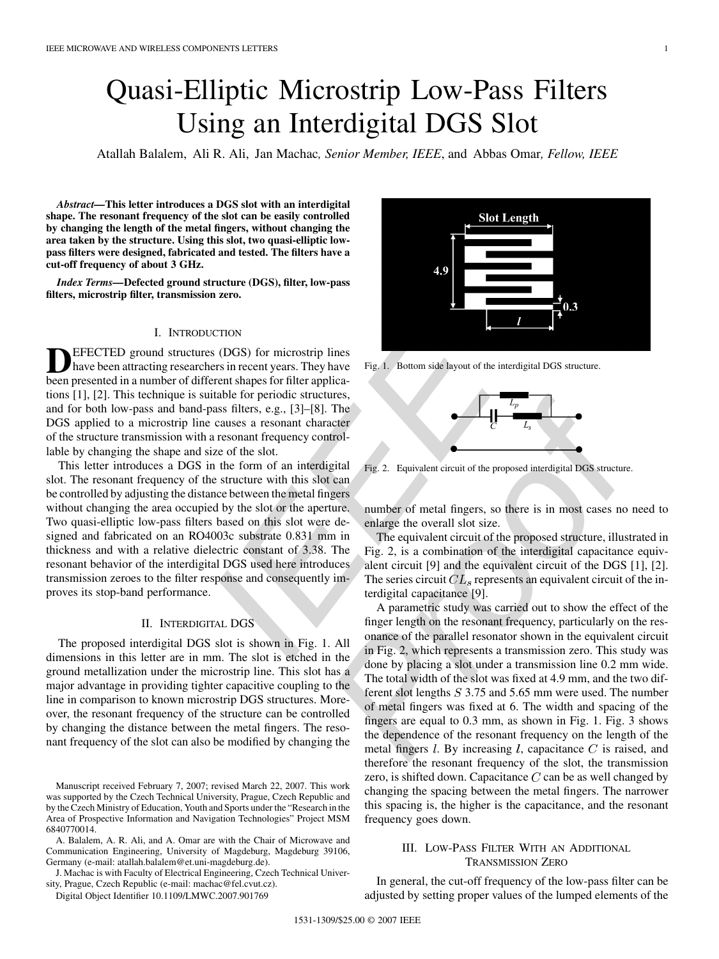# Quasi-Elliptic Microstrip Low-Pass Filters Using an Interdigital DGS Slot

Atallah Balalem, Ali R. Ali, Jan Machac*, Senior Member, IEEE*, and Abbas Omar*, Fellow, IEEE*

*Abstract—***This letter introduces a DGS slot with an interdigital shape. The resonant frequency of the slot can be easily controlled by changing the length of the metal fingers, without changing the area taken by the structure. Using this slot, two quasi-elliptic lowpass filters were designed, fabricated and tested. The filters have a cut-off frequency of about 3 GHz.**

*Index Terms—***Defected ground structure (DGS), filter, low-pass filters, microstrip filter, transmission zero.**

#### I. INTRODUCTION

**DEFECTED** ground structures (DGS) for microstrip lines<br>have been attracting researchers in recent years. They have been presented in a number of different shapes for filter applications [1], [2]. This technique is suitable for periodic structures, and for both low-pass and band-pass filters, e.g., [3]–[8]. The DGS applied to a microstrip line causes a resonant character of the structure transmission with a resonant frequency controllable by changing the shape and size of the slot.

This letter introduces a DGS in the form of an interdigital slot. The resonant frequency of the structure with this slot can be controlled by adjusting the distance between the metal fingers without changing the area occupied by the slot or the aperture. Two quasi-elliptic low-pass filters based on this slot were designed and fabricated on an RO4003c substrate 0.831 mm in thickness and with a relative dielectric constant of 3.38. The resonant behavior of the interdigital DGS used here introduces transmission zeroes to the filter response and consequently improves its stop-band performance.

#### II. INTERDIGITAL DGS

The proposed interdigital DGS slot is shown in Fig. 1. All dimensions in this letter are in mm. The slot is etched in the ground metallization under the microstrip line. This slot has a major advantage in providing tighter capacitive coupling to the line in comparison to known microstrip DGS structures. Moreover, the resonant frequency of the structure can be controlled by changing the distance between the metal fingers. The resonant frequency of the slot can also be modified by changing the

A. Balalem, A. R. Ali, and A. Omar are with the Chair of Microwave and Communication Engineering, University of Magdeburg, Magdeburg 39106, Germany (e-mail: atallah.balalem@et.uni-magdeburg.de).

J. Machac is with Faculty of Electrical Engineering, Czech Technical University, Prague, Czech Republic (e-mail: machac@fel.cvut.cz).

Digital Object Identifier 10.1109/LMWC.2007.901769



Fig. 1. Bottom side layout of the interdigital DGS structure.



Fig. 2. Equivalent circuit of the proposed interdigital DGS structure.

number of metal fingers, so there is in most cases no need to enlarge the overall slot size.

The equivalent circuit of the proposed structure, illustrated in Fig. 2, is a combination of the interdigital capacitance equivalent circuit [9] and the equivalent circuit of the DGS [1], [2]. The series circuit  $CL<sub>s</sub>$  represents an equivalent circuit of the interdigital capacitance [9].

CCTON<br>
ECTON<br>
ESTIGNEON SCONS (FOR METALE PROPRIME) IDENTIFY (FOR METALE SIGNETIC SIGNET SIGNET SIGNET AND AND THE CONDITION THE ASSAULT AND ANOTHER AND ANOTHER AND AN ANOTHER AND AN ANOTHER AND AND MONOR SURFACT OF the s A parametric study was carried out to show the effect of the finger length on the resonant frequency, particularly on the resonance of the parallel resonator shown in the equivalent circuit in Fig. 2, which represents a transmission zero. This study was done by placing a slot under a transmission line 0.2 mm wide. The total width of the slot was fixed at 4.9 mm, and the two different slot lengths 3.75 and 5.65 mm were used. The number of metal fingers was fixed at 6. The width and spacing of the fingers are equal to 0.3 mm, as shown in Fig. 1. Fig. 3 shows the dependence of the resonant frequency on the length of the metal fingers  $l$ . By increasing  $l$ , capacitance  $C$  is raised, and therefore the resonant frequency of the slot, the transmission zero, is shifted down. Capacitance  $C$  can be as well changed by changing the spacing between the metal fingers. The narrower this spacing is, the higher is the capacitance, and the resonant frequency goes down.

# III. LOW-PASS FILTER WITH AN ADDITIONAL TRANSMISSION ZERO

In general, the cut-off frequency of the low-pass filter can be adjusted by setting proper values of the lumped elements of the

Manuscript received February 7, 2007; revised March 22, 2007. This work was supported by the Czech Technical University, Prague, Czech Republic and by the Czech Ministry of Education, Youth and Sports under the "Research in the Area of Prospective Information and Navigation Technologies" Project MSM 6840770014.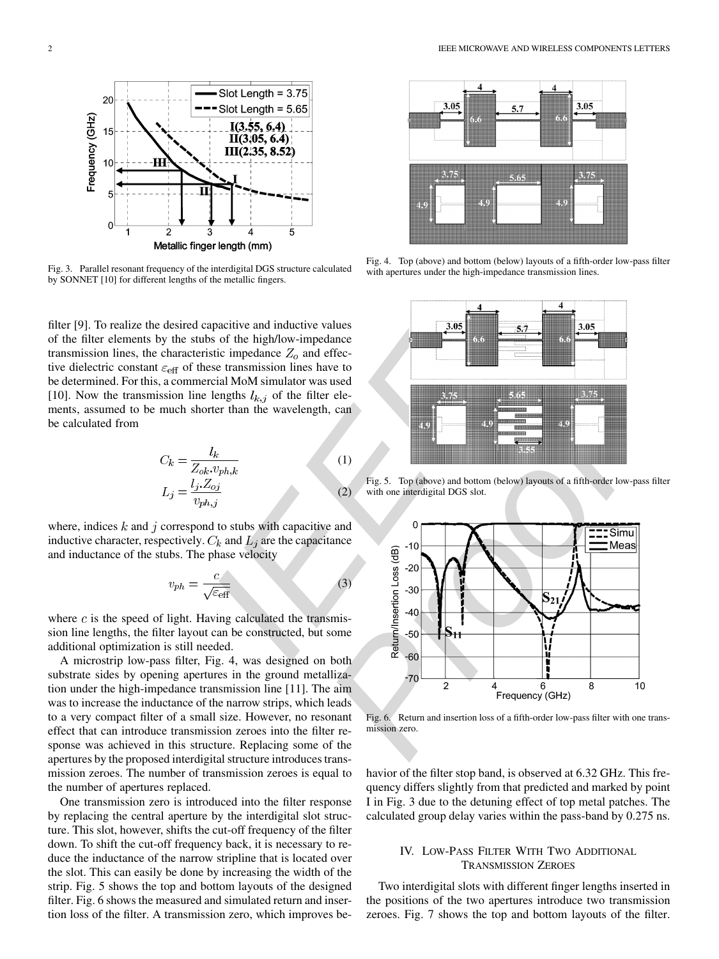

Fig. 3. Parallel resonant frequency of the interdigital DGS structure calculated by SONNET [10] for different lengths of the metallic fingers.

filter [9]. To realize the desired capacitive and inductive values of the filter elements by the stubs of the high/low-impedance transmission lines, the characteristic impedance  $Z_0$  and effective dielectric constant  $\varepsilon_{\text{eff}}$  of these transmission lines have to be determined. For this, a commercial MoM simulator was used [10]. Now the transmission line lengths  $l_{k,j}$  of the filter elements, assumed to be much shorter than the wavelength, can be calculated from

$$
C_k = \frac{l_k}{Z_{ok}.v_{ph,k}}
$$
  
\n
$$
L_j = \frac{l_j.Z_{oj}}{v_{ph,j}}
$$
\n(1)

where, indices  $k$  and  $j$  correspond to stubs with capacitive and inductive character, respectively.  $C_k$  and  $\overline{L}_i$  are the capacitance and inductance of the stubs. The phase velocity

$$
v_{ph} = \frac{c}{\sqrt{\varepsilon_{\text{eff}}}}\tag{3}
$$

where  $c$  is the speed of light. Having calculated the transmission line lengths, the filter layout can be constructed, but some additional optimization is still needed.

A microstrip low-pass filter, Fig. 4, was designed on both substrate sides by opening apertures in the ground metallization under the high-impedance transmission line [11]. The aim was to increase the inductance of the narrow strips, which leads to a very compact filter of a small size. However, no resonant effect that can introduce transmission zeroes into the filter response was achieved in this structure. Replacing some of the apertures by the proposed interdigital structure introduces transmission zeroes. The number of transmission zeroes is equal to the number of apertures replaced.

One transmission zero is introduced into the filter response by replacing the central aperture by the interdigital slot structure. This slot, however, shifts the cut-off frequency of the filter down. To shift the cut-off frequency back, it is necessary to reduce the inductance of the narrow stripline that is located over the slot. This can easily be done by increasing the width of the strip. Fig. 5 shows the top and bottom layouts of the designed filter. Fig. 6 shows the measured and simulated return and insertion loss of the filter. A transmission zero, which improves be-



Fig. 4. Top (above) and bottom (below) layouts of a fifth-order low-pass filter with apertures under the high-impedance transmission lines.



Fig. 5. Top (above) and bottom (below) layouts of a fifth-order low-pass filter with one interdigital DGS slot.



Fig. 6. Return and insertion loss of a fifth-order low-pass filter with one transmission zero.

havior of the filter stop band, is observed at 6.32 GHz. This frequency differs slightly from that predicted and marked by point I in Fig. 3 due to the detuning effect of top metal patches. The calculated group delay varies within the pass-band by 0.275 ns.

# IV. LOW-PASS FILTER WITH TWO ADDITIONAL TRANSMISSION ZEROES

Two interdigital slots with different finger lengths inserted in the positions of the two apertures introduce two transmission zeroes. Fig. 7 shows the top and bottom layouts of the filter.